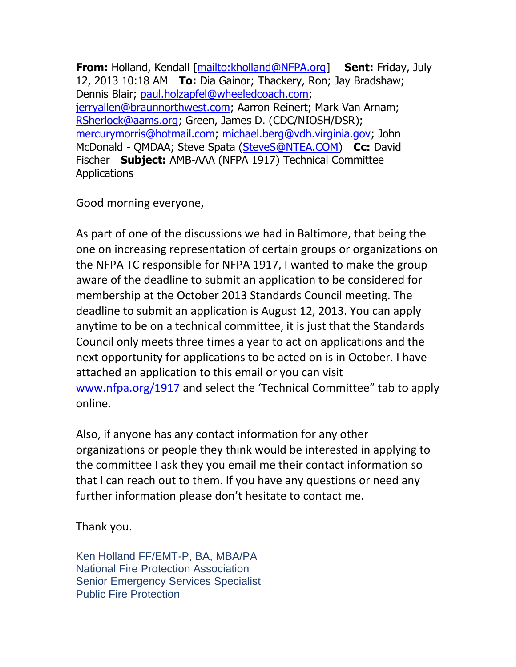**From:** Holland, Kendall [\[mailto:kholland@NFPA.org\]](mailto:kholland@NFPA.org) **Sent:** Friday, July 12, 2013 10:18 AM **To:** Dia Gainor; Thackery, Ron; Jay Bradshaw; Dennis Blair; [paul.holzapfel@wheeledcoach.com;](mailto:paul.holzapfel@wheeledcoach.com) [jerryallen@braunnorthwest.com;](mailto:jerryallen@braunnorthwest.com) Aarron Reinert; Mark Van Arnam; [RSherlock@aams.org;](mailto:RSherlock@aams.org) Green, James D. (CDC/NIOSH/DSR); [mercurymorris@hotmail.com;](mailto:mercurymorris@hotmail.com) [michael.berg@vdh.virginia.gov;](mailto:michael.berg@vdh.virginia.gov) John McDonald - QMDAA; Steve Spata [\(SteveS@NTEA.COM\)](mailto:SteveS@NTEA.COM) **Cc:** David Fischer **Subject:** AMB-AAA (NFPA 1917) Technical Committee Applications

Good morning everyone,

As part of one of the discussions we had in Baltimore, that being the one on increasing representation of certain groups or organizations on the NFPA TC responsible for NFPA 1917, I wanted to make the group aware of the deadline to submit an application to be considered for membership at the October 2013 Standards Council meeting. The deadline to submit an application is August 12, 2013. You can apply anytime to be on a technical committee, it is just that the Standards Council only meets three times a year to act on applications and the next opportunity for applications to be acted on is in October. I have attached an application to this email or you can visit [www.nfpa.org/1917](http://www.nfpa.org/1917) and select the 'Technical Committee" tab to apply online.

Also, if anyone has any contact information for any other organizations or people they think would be interested in applying to the committee I ask they you email me their contact information so that I can reach out to them. If you have any questions or need any further information please don't hesitate to contact me.

Thank you.

Ken Holland FF/EMT-P, BA, MBA/PA National Fire Protection Association Senior Emergency Services Specialist Public Fire Protection